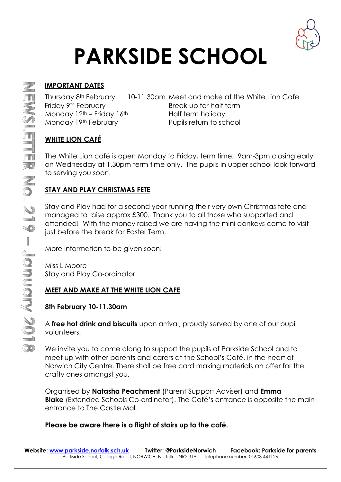

# **PARKSIDE SCHOOL**

# **IMPORTANT DATES**

Monday  $12<sup>th</sup>$  – Friday  $16<sup>th</sup>$  Half term holiday

Thursday 8th February 10-11.30am Meet and make at the White Lion Cafe Friday 9<sup>th</sup> February **Break up for half term** Monday 19<sup>th</sup> February **Pupils return to school** 

# **WHITE LION CAFÉ**

The White Lion café is open Monday to Friday, term time, 9am-3pm closing early on Wednesday at 1.30pm term time only. The pupils in upper school look forward to serving you soon.

# **STAY AND PLAY CHRISTMAS FETE**

Stay and Play had for a second year running their very own Christmas fete and managed to raise approx £300. Thank you to all those who supported and attended! With the money raised we are having the mini donkeys come to visit just before the break for Easter Term.

More information to be given soon!

Miss L Moore Stay and Play Co-ordinator

## **MEET AND MAKE AT THE WHITE LION CAFE**

## **8th February 10-11.30am**

A **free hot drink and biscuits** upon arrival, proudly served by one of our pupil volunteers.

We invite you to come along to support the pupils of Parkside School and to meet up with other parents and carers at the School's Café, in the heart of Norwich City Centre. There shall be free card making materials on offer for the crafty ones amongst you.

Organised by **Natasha Peachment** (Parent Support Adviser) and **Emma Blake** (Extended Schools Co-ordinator). The Café's entrance is opposite the main entrance to The Castle Mall.

## **Please be aware there is a flight of stairs up to the café.**